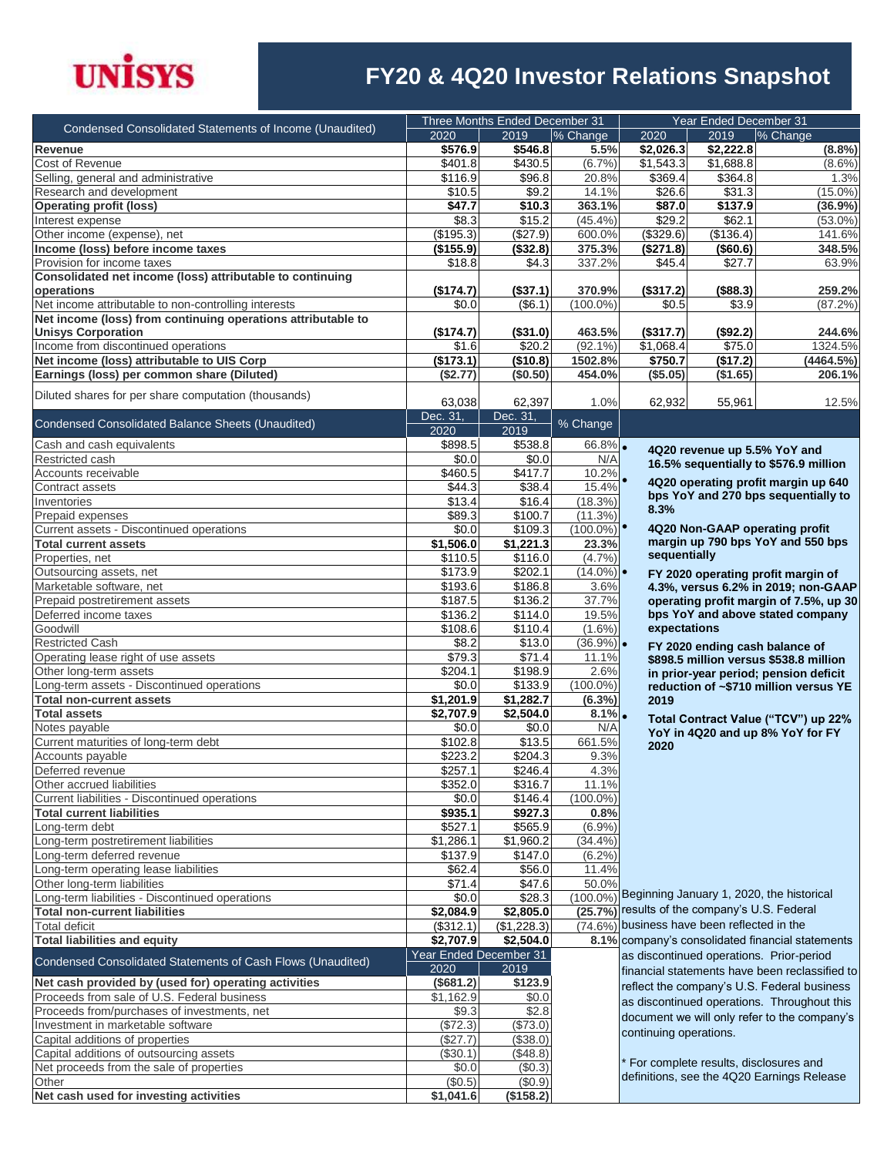

## **FY20 & 4Q20 Investor Relations Snapshot**

| Condensed Consolidated Statements of Income (Unaudited)              | Three Months Ended December 31 |                        |                        | Year Ended December 31                         |                    |                                                    |
|----------------------------------------------------------------------|--------------------------------|------------------------|------------------------|------------------------------------------------|--------------------|----------------------------------------------------|
|                                                                      | 2020                           | 2019                   | % Change               | 2020                                           | 2019               | % Change                                           |
| Revenue                                                              | \$576.9                        | \$546.8                | 5.5%                   | \$2,026.3                                      | \$2,222.8          | (8.8%)                                             |
| Cost of Revenue                                                      | \$401.8                        | \$430.5                | (6.7%)                 | \$1,543.3                                      | \$1,688.8          | $(8.6\%)$                                          |
| Selling, general and administrative<br>Research and development      | \$116.9<br>\$10.5              | \$96.8<br>\$9.2        | 20.8%<br>14.1%         | \$369.4<br>\$26.6                              | \$364.8<br>\$31.3  | 1.3%<br>$(15.0\%)$                                 |
| <b>Operating profit (loss)</b>                                       | \$47.7                         | \$10.3                 | 363.1%                 | \$87.0                                         | \$137.9            | (36.9%)                                            |
| Interest expense                                                     | \$8.3                          | \$15.2                 | $(45.4\%)$             | \$29.2                                         | \$62.1             | $(53.0\%)$                                         |
| Other income (expense), net                                          | (\$195.3)                      | (\$27.9)               | 600.0%                 | (\$329.6)                                      | (\$136.4)          | 141.6%                                             |
| Income (loss) before income taxes                                    | (\$155.9)                      | (\$32.8)               | 375.3%                 | (\$271.8)                                      | ( \$60.6)          | 348.5%                                             |
| Provision for income taxes                                           | \$18.8                         | \$4.3                  | 337.2%                 | \$45.4                                         | \$27.7             | 63.9%                                              |
| Consolidated net income (loss) attributable to continuing            |                                |                        |                        |                                                |                    |                                                    |
| operations                                                           | (\$174.7)                      | (\$37.1)               | 370.9%                 | (\$317.2)                                      | (\$88.3)           | 259.2%                                             |
| Net income attributable to non-controlling interests                 | \$0.0                          | (\$6.1)                | $(100.0\%)$            | \$0.5                                          | \$3.9              | $(87.2\%)$                                         |
| Net income (loss) from continuing operations attributable to         |                                |                        |                        |                                                |                    |                                                    |
| <b>Unisys Corporation</b><br>Income from discontinued operations     | (\$174.7)<br>\$1.6             | (\$31.0)<br>\$20.2     | 463.5%<br>$(92.1\%)$   | (\$317.7)<br>\$1,068.4                         | (\$92.2)<br>\$75.0 | 244.6%<br>1324.5%                                  |
| Net income (loss) attributable to UIS Corp                           | (\$173.1)                      | (\$10.8)               | 1502.8%                | \$750.7                                        | (\$17.2)           | (4464.5%)                                          |
| Earnings (loss) per common share (Diluted)                           | (\$2.77)                       | (\$0.50)               | 454.0%                 | $($ \$5.05)                                    | (\$1.65)           | 206.1%                                             |
|                                                                      |                                |                        |                        |                                                |                    |                                                    |
| Diluted shares for per share computation (thousands)                 | 63,038                         | 62,397                 | 1.0%                   | 62,932                                         | 55,961             | 12.5%                                              |
| Condensed Consolidated Balance Sheets (Unaudited)                    | Dec. 31,                       | Dec. 31                | % Change               |                                                |                    |                                                    |
|                                                                      | 2020                           | 2019                   |                        |                                                |                    |                                                    |
| Cash and cash equivalents                                            | \$898.5                        | \$538.8                | $66.8\%$               |                                                |                    | 4Q20 revenue up 5.5% YoY and                       |
| Restricted cash                                                      | \$0.0                          | \$0.0                  | N/A                    |                                                |                    | 16.5% sequentially to \$576.9 million              |
| Accounts receivable                                                  | \$460.5                        | \$417.7                | 10.2%                  |                                                |                    | 4Q20 operating profit margin up 640                |
| Contract assets                                                      | \$44.3                         | \$38.4                 | 15.4%                  |                                                |                    | bps YoY and 270 bps sequentially to                |
| Inventories                                                          | \$13.4                         | \$16.4                 | (18.3%)                | 8.3%                                           |                    |                                                    |
| Prepaid expenses<br>Current assets - Discontinued operations         | \$89.3<br>\$0.0                | \$100.7<br>\$109.3     | (11.3%)<br>$(100.0\%)$ |                                                |                    | 4Q20 Non-GAAP operating profit                     |
| <b>Total current assets</b>                                          | \$1,506.0                      | \$1,221.3              | 23.3%                  |                                                |                    | margin up 790 bps YoY and 550 bps                  |
| Properties, net                                                      | \$110.5                        | \$116.0                | (4.7%)                 | sequentially                                   |                    |                                                    |
| Outsourcing assets, net                                              | \$173.9                        | \$202.1                | $(14.0\%)$             |                                                |                    | FY 2020 operating profit margin of                 |
| Marketable software, net                                             | \$193.6                        | \$186.8                | 3.6%                   |                                                |                    | 4.3%, versus 6.2% in 2019; non-GAAP                |
| Prepaid postretirement assets                                        | \$187.5                        | \$136.2                | 37.7%                  |                                                |                    | operating profit margin of 7.5%, up 30             |
| Deferred income taxes                                                | \$136.2                        | \$114.0                | 19.5%                  |                                                |                    | bps YoY and above stated company                   |
| Goodwill                                                             | \$108.6                        | \$110.4                | $(1.6\%)$              | expectations                                   |                    |                                                    |
| <b>Restricted Cash</b>                                               | \$8.2                          | \$13.0                 | $(36.9\%)$             |                                                |                    | FY 2020 ending cash balance of                     |
| Operating lease right of use assets                                  | \$79.3                         | \$71.4                 | 11.1%                  |                                                |                    | \$898.5 million versus \$538.8 million             |
| Other long-term assets<br>Long-term assets - Discontinued operations | \$204.1<br>\$0.0               | \$198.9<br>\$133.9     | 2.6%<br>$(100.0\%)$    |                                                |                    | in prior-year period; pension deficit              |
| <b>Total non-current assets</b>                                      | \$1,201.9                      | \$1,282.7              | $(6.3\%)$              | 2019                                           |                    | reduction of ~\$710 million versus YE              |
| <b>Total assets</b>                                                  | \$2,707.9                      | \$2,504.0              | $8.1\%$                |                                                |                    |                                                    |
| Notes payable                                                        | \$0.0                          | \$0.0                  | N/A                    |                                                |                    | Total Contract Value ("TCV") up 22%                |
| Current maturities of long-term debt                                 | \$102.8                        | \$13.5                 | 661.5%                 | 2020                                           |                    | YoY in 4Q20 and up 8% YoY for FY                   |
| Accounts payable                                                     | \$223.2                        | \$204.3                | 9.3%                   |                                                |                    |                                                    |
| Deferred revenue                                                     | \$257.1                        | \$246.4                | 4.3%                   |                                                |                    |                                                    |
| Other accrued liabilities                                            | \$352.0                        | \$316.7                | 11.1%                  |                                                |                    |                                                    |
| Current liabilities - Discontinued operations                        | \$0.0                          | \$146.4                | $(100.0\%)$            |                                                |                    |                                                    |
| <b>Total current liabilities</b>                                     | \$935.1                        | \$927.3                | 0.8%                   |                                                |                    |                                                    |
| Long-term debt                                                       | \$527.1                        | \$565.9                | (6.9%)                 |                                                |                    |                                                    |
| Long-term postretirement liabilities                                 | \$1,286.1                      | \$1,960.2              | $(34.4\%)$             |                                                |                    |                                                    |
| Long-term deferred revenue<br>Long-term operating lease liabilities  | \$137.9<br>\$62.4              | \$147.0<br>\$56.0      | (6.2%)<br>11.4%        |                                                |                    |                                                    |
| Other long-term liabilities                                          | \$71.4                         | \$47.6                 | 50.0%                  |                                                |                    |                                                    |
| Long-term liabilities - Discontinued operations                      | \$0.0                          | \$28.3                 |                        |                                                |                    | (100.0%) Beginning January 1, 2020, the historical |
| <b>Total non-current liabilities</b>                                 | \$2,084.9                      | \$2,805.0              |                        | (25.7%) results of the company's U.S. Federal  |                    |                                                    |
| Total deficit                                                        | (\$312.1)                      | (\$1,228.3)            |                        | $(74.6\%)$ business have been reflected in the |                    |                                                    |
| <b>Total liabilities and equity</b>                                  | \$2,707.9                      | \$2,504.0              |                        |                                                |                    | 8.1% company's consolidated financial statements   |
| Condensed Consolidated Statements of Cash Flows (Unaudited)          |                                | Year Ended December 31 |                        |                                                |                    | as discontinued operations. Prior-period           |
|                                                                      | 2020                           | 2019                   |                        |                                                |                    | financial statements have been reclassified to     |
| Net cash provided by (used for) operating activities                 | (\$681.2)                      | \$123.9                |                        |                                                |                    | reflect the company's U.S. Federal business        |
| Proceeds from sale of U.S. Federal business                          | \$1,162.9                      | \$0.0                  |                        |                                                |                    | as discontinued operations. Throughout this        |
| Proceeds from/purchases of investments, net                          | \$9.3                          | \$2.8                  |                        |                                                |                    | document we will only refer to the company's       |
| Investment in marketable software<br>Capital additions of properties | (\$72.3)<br>$($ \$27.7)        | (\$73.0)<br>(\$38.0)   |                        | continuing operations.                         |                    |                                                    |
| Capital additions of outsourcing assets                              | (\$30.1)                       | (\$48.8)               |                        |                                                |                    |                                                    |
| Net proceeds from the sale of properties                             | \$0.0                          | (\$0.3)                |                        |                                                |                    | * For complete results, disclosures and            |
| Other                                                                | (\$0.5)                        | (\$0.9)                |                        |                                                |                    | definitions, see the 4Q20 Earnings Release         |
| Net cash used for investing activities                               | \$1,041.6                      | (\$158.2)              |                        |                                                |                    |                                                    |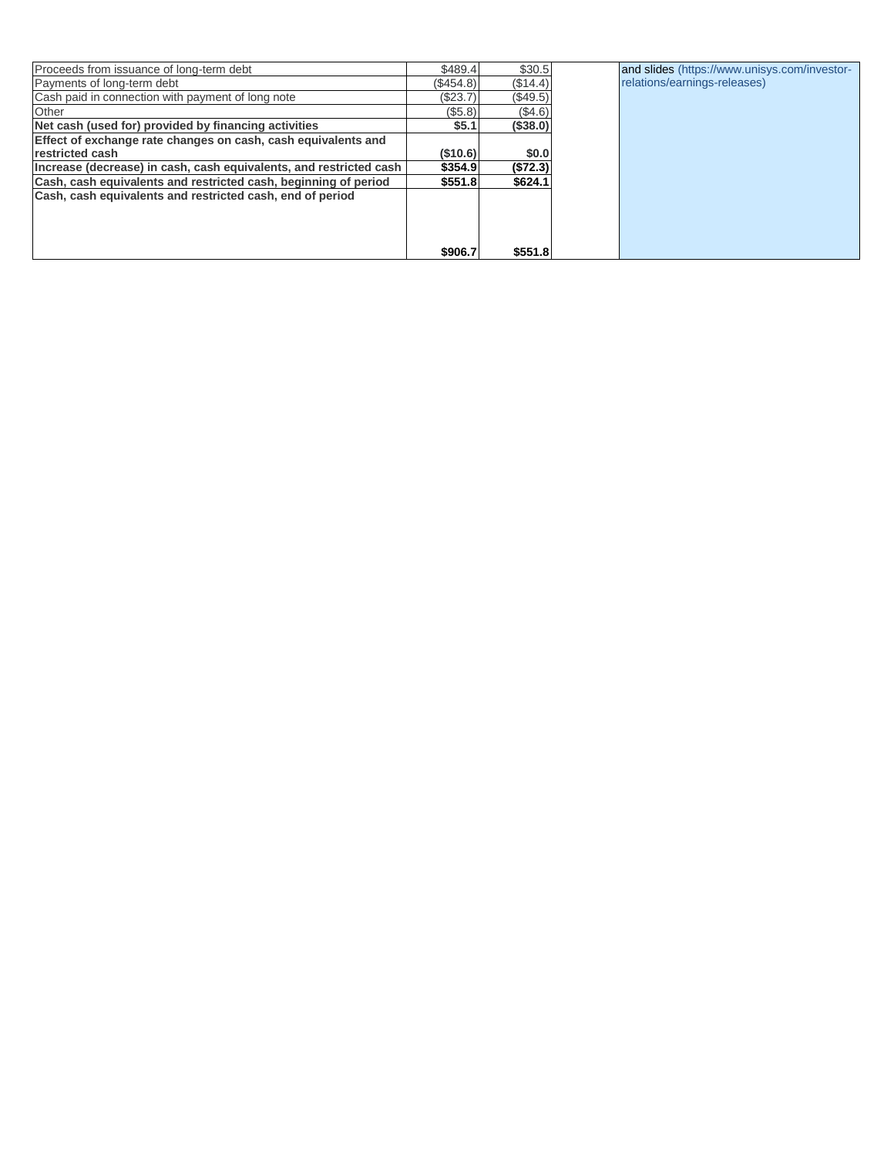| Proceeds from issuance of long-term debt                           | \$489.4   | \$30.5     | and slides (https://www.unisys.com/investor- |
|--------------------------------------------------------------------|-----------|------------|----------------------------------------------|
| Payments of long-term debt                                         | (\$454.8) | (\$14.4)   | relations/earnings-releases)                 |
| Cash paid in connection with payment of long note                  | (\$23.7)  | $(\$49.5)$ |                                              |
| Other                                                              | (\$5.8)   | (S4.6)     |                                              |
| Net cash (used for) provided by financing activities               | \$5.1     | ( \$38.0)  |                                              |
| Effect of exchange rate changes on cash, cash equivalents and      |           |            |                                              |
| restricted cash                                                    | (\$10.6)  | \$0.0      |                                              |
| Increase (decrease) in cash, cash equivalents, and restricted cash | \$354.9   | (S72.3)    |                                              |
| Cash, cash equivalents and restricted cash, beginning of period    | \$551.8   | \$624.1    |                                              |
| Cash, cash equivalents and restricted cash, end of period          |           |            |                                              |
|                                                                    |           |            |                                              |
|                                                                    |           |            |                                              |
|                                                                    |           |            |                                              |
|                                                                    | \$906.7   | \$551.8    |                                              |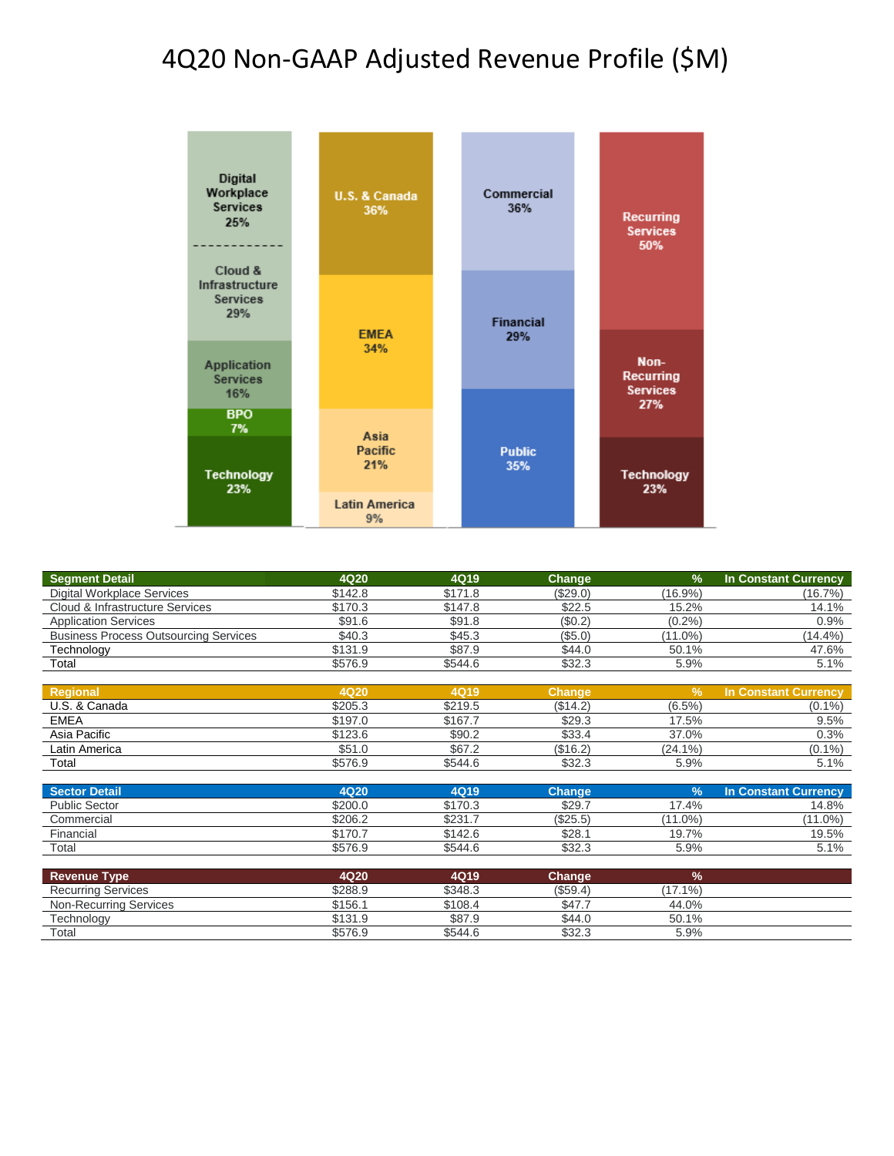#### 4Q20 Non-GAAP Adjusted Revenue Profile (\$M)



| <b>Segment Detail</b>                        | <b>4Q20</b> | 4Q19        | <b>Change</b> | $\frac{9}{6}$ | <b>In Constant Currency</b> |
|----------------------------------------------|-------------|-------------|---------------|---------------|-----------------------------|
| <b>Digital Workplace Services</b>            | \$142.8     | \$171.8     | (\$29.0)      | $(16.9\%)$    | (16.7%)                     |
| Cloud & Infrastructure Services              | \$170.3     | \$147.8     | \$22.5        | 15.2%         | 14.1%                       |
| <b>Application Services</b>                  | \$91.6      | \$91.8      | (\$0.2)       | (0.2%         | 0.9%                        |
| <b>Business Process Outsourcing Services</b> | \$40.3      | \$45.3      | (\$5.0)       | $(11.0\%)$    | $(14.4\%)$                  |
| Technology                                   | \$131.9     | \$87.9      | \$44.0        | 50.1%         | 47.6%                       |
| Total                                        | \$576.9     | \$544.6     | \$32.3        | 5.9%          | 5.1%                        |
|                                              |             |             |               |               |                             |
| <b>Regional</b>                              | <b>4Q20</b> | 4Q19        | <b>Change</b> | $\frac{9}{6}$ | <b>In Constant Currency</b> |
| U.S. & Canada                                | \$205.3     | \$219.5     | (\$14.2)      | $(6.5\%)$     | $(0.1\%)$                   |
| <b>EMEA</b>                                  | \$197.0     | \$167.7     | \$29.3        | 17.5%         | 9.5%                        |
| Asia Pacific                                 | \$123.6     | \$90.2      | \$33.4        | 37.0%         | 0.3%                        |
| Latin America                                | \$51.0      | \$67.2      | (\$16.2)      | $(24.1\%)$    | $(0.1\%)$                   |
| Total                                        | \$576.9     | \$544.6     | \$32.3        | 5.9%          | 5.1%                        |
|                                              |             |             |               |               |                             |
| <b>Sector Detail</b>                         | 4Q20        | <b>4Q19</b> | <b>Change</b> | $\frac{9}{6}$ | <b>In Constant Currency</b> |
| <b>Public Sector</b>                         | \$200.0     | \$170.3     | \$29.7        | 17.4%         | 14.8%                       |
| Commercial                                   | \$206.2     | \$231.7     | (\$25.5)      | $(11.0\%)$    | $(11.0\%)$                  |
| Financial                                    | \$170.7     | \$142.6     | \$28.1        | 19.7%         | 19.5%                       |
| Total                                        | \$576.9     | \$544.6     | \$32.3        | 5.9%          | 5.1%                        |
|                                              |             |             |               |               |                             |
| <b>Revenue Type</b>                          | 4Q20        | 4Q19        | Change        | $\frac{9}{6}$ |                             |
| <b>Recurring Services</b>                    | \$288.9     | \$348.3     | (\$59.4)      | $(17.1\%)$    |                             |
| Non-Recurring Services                       | \$156.1     | \$108.4     | \$47.7        | 44.0%         |                             |
| Technology                                   | \$131.9     | \$87.9      | \$44.0        | 50.1%         |                             |
| Total                                        | \$576.9     | \$544.6     | \$32.3        | 5.9%          |                             |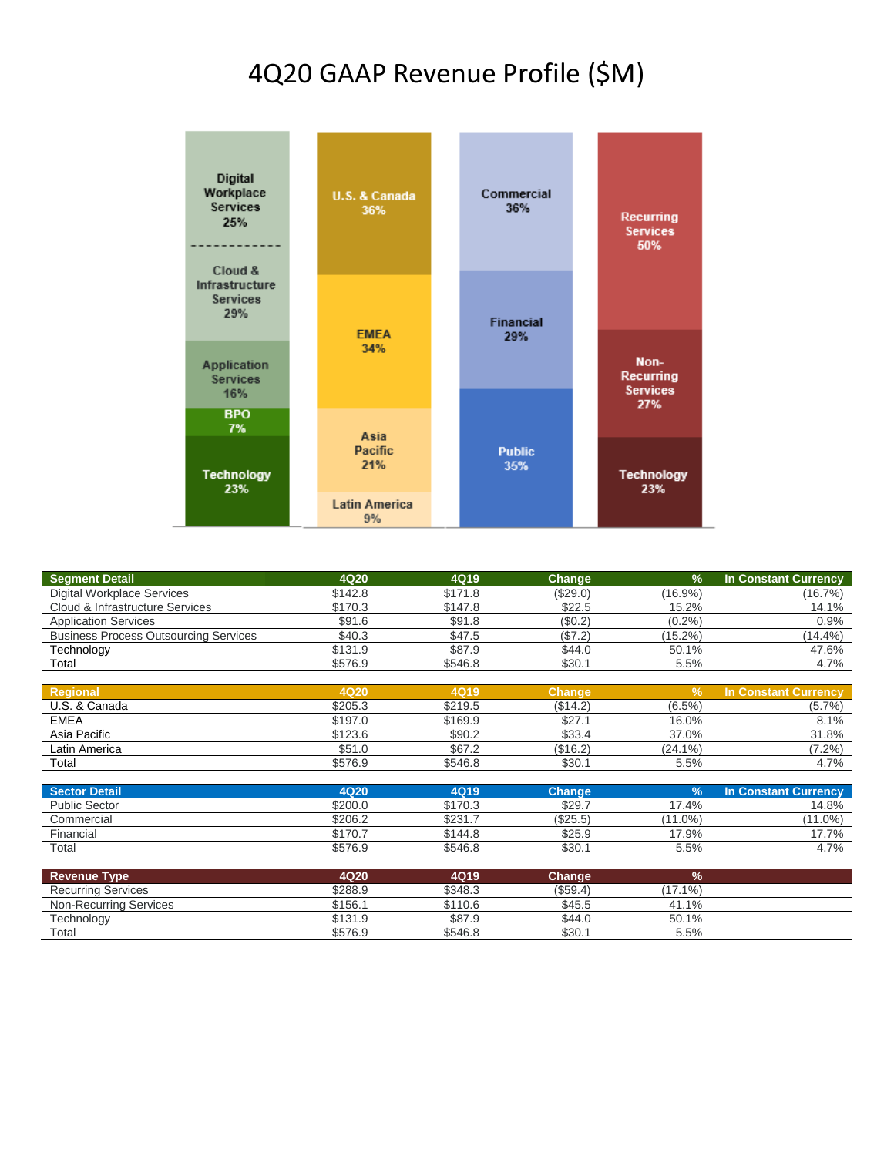## 4Q20 GAAP Revenue Profile (\$M)



| <b>Segment Detail</b>                        | <b>4Q20</b> | 4Q19        | Change        | $\frac{9}{6}$ | <b>In Constant Currency</b> |
|----------------------------------------------|-------------|-------------|---------------|---------------|-----------------------------|
| Digital Workplace Services                   | \$142.8     | \$171.8     | (\$29.0)      | (16.9%)       | (16.7%)                     |
| Cloud & Infrastructure Services              | \$170.3     | \$147.8     | \$22.5        | 15.2%         | 14.1%                       |
| <b>Application Services</b>                  | \$91.6      | \$91.8      | (\$0.2)       | (0.2%         | 0.9%                        |
| <b>Business Process Outsourcing Services</b> | \$40.3      | \$47.5      | (\$7.2)       | $(15.2\%)$    | (14.4%)                     |
| Technology                                   | \$131.9     | \$87.9      | \$44.0        | 50.1%         | 47.6%                       |
| Total                                        | \$576.9     | \$546.8     | \$30.1        | 5.5%          | 4.7%                        |
|                                              |             |             |               |               |                             |
| <b>Regional</b>                              | 4Q20        | <b>4Q19</b> | <b>Change</b> | $\frac{9}{6}$ | <b>In Constant Currency</b> |
| U.S. & Canada                                | \$205.3     | \$219.5     | (\$14.2)      | $(6.5\%)$     | $(5.7\%)$                   |
| <b>EMEA</b>                                  | \$197.0     | \$169.9     | \$27.1        | 16.0%         | 8.1%                        |
| Asia Pacific                                 | \$123.6     | \$90.2      | \$33.4        | 37.0%         | 31.8%                       |
| Latin America                                | \$51.0      | \$67.2      | (\$16.2)      | $(24.1\%)$    | $(7.2\%)$                   |
| Total                                        | \$576.9     | \$546.8     | \$30.1        | 5.5%          | 4.7%                        |
|                                              |             |             |               |               |                             |
| <b>Sector Detail</b>                         | <b>4Q20</b> | <b>4Q19</b> | <b>Change</b> | $\frac{9}{6}$ | <b>In Constant Currency</b> |
| <b>Public Sector</b>                         | \$200.0     | \$170.3     | \$29.7        | 17.4%         | 14.8%                       |
| Commercial                                   | \$206.2     | \$231.7     | (\$25.5)      | $(11.0\%)$    | $(11.0\%)$                  |
| Financial                                    | \$170.7     | \$144.8     | \$25.9        | 17.9%         | 17.7%                       |
| Total                                        | \$576.9     | \$546.8     | \$30.1        | 5.5%          | 4.7%                        |
|                                              |             |             |               |               |                             |
| <b>Revenue Type</b>                          | 4Q20        | 4Q19        | Change        | $\%$          |                             |
| <b>Recurring Services</b>                    | \$288.9     | \$348.3     | (\$59.4)      | $(17.1\%)$    |                             |
| <b>Non-Recurring Services</b>                | \$156.1     | \$110.6     | \$45.5        | 41.1%         |                             |
| Technology                                   | \$131.9     | \$87.9      | \$44.0        | 50.1%         |                             |

 $\text{Total}$  5.5%  $\text{576.9}$   $\text{576.9}$   $\text{576.8}$   $\text{576.8}$   $\text{576.8}$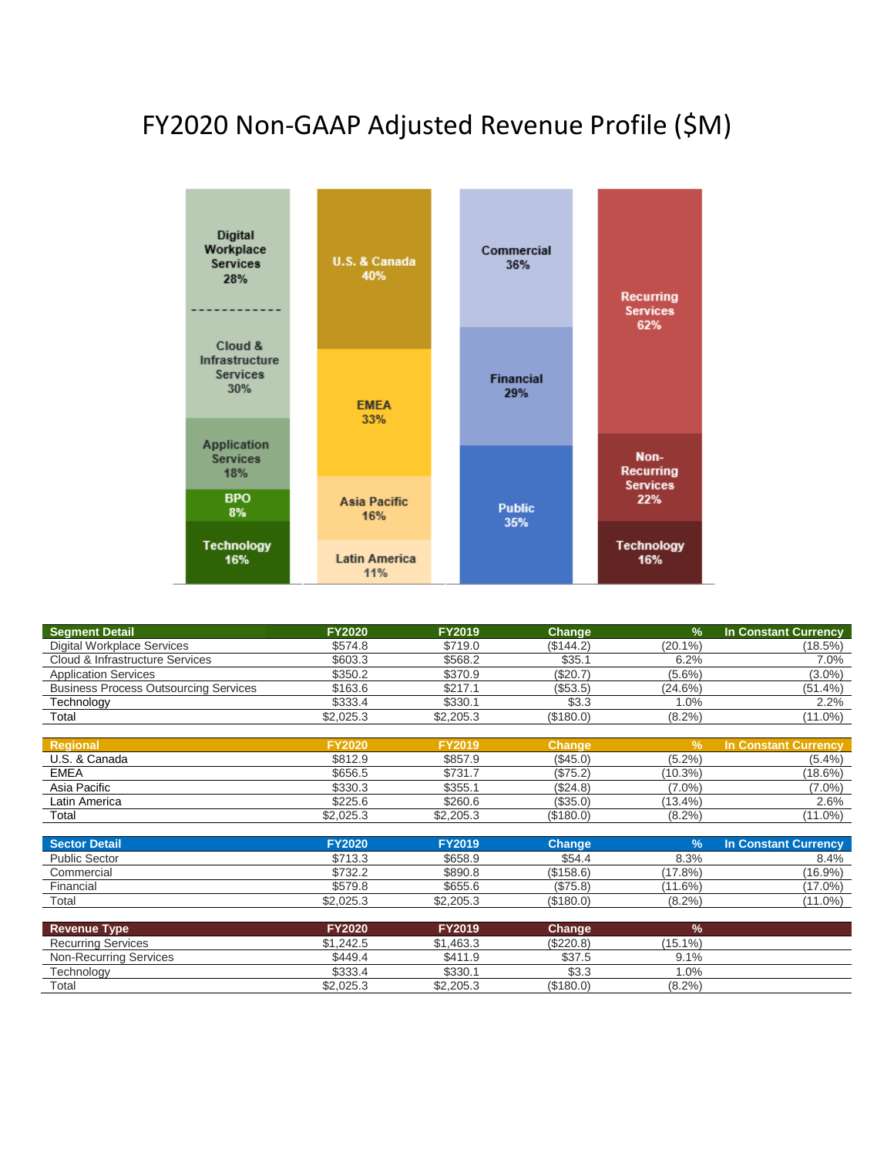# FY2020 Non-GAAP Adjusted Revenue Profile (\$M)



| <b>Segment Detail</b>                        | <b>FY2020</b> | <b>FY2019</b> | Change        | $\frac{9}{6}$ | <b>In Constant Currency</b> |
|----------------------------------------------|---------------|---------------|---------------|---------------|-----------------------------|
| <b>Digital Workplace Services</b>            | \$574.8       | \$719.0       | (\$144.2)     | $(20.1\%)$    | (18.5%)                     |
| Cloud & Infrastructure Services              | \$603.3       | \$568.2       | \$35.1        | 6.2%          | 7.0%                        |
| <b>Application Services</b>                  | \$350.2       | \$370.9       | (\$20.7)      | $(5.6\%)$     | $(3.0\%)$                   |
| <b>Business Process Outsourcing Services</b> | \$163.6       | \$217.1       | (\$53.5)      | $(24.6\%)$    | $(51.4\%)$                  |
| <b>Technology</b>                            | \$333.4       | \$330.1       | \$3.3         | 1.0%          | 2.2%                        |
| Total                                        | \$2,025.3     | \$2,205.3     | (\$180.0)     | $(8.2\%)$     | $(11.0\%)$                  |
|                                              |               |               |               |               |                             |
| <b>Regional</b>                              | <b>FY2020</b> | <b>FY2019</b> | <b>Change</b> | $\frac{9}{6}$ | <b>In Constant Currency</b> |
| U.S. & Canada                                | \$812.9       | \$857.9       | (\$45.0)      | $(5.2\%)$     | $(5.4\%)$                   |
| <b>EMEA</b>                                  | \$656.5       | \$731.7       | (\$75.2)      | (10.3%)       | (18.6%)                     |
| Asia Pacific                                 | \$330.3       | \$355.1       | (\$24.8)      | $(7.0\%)$     | $(7.0\%)$                   |
| Latin America                                | \$225.6       | \$260.6       | (\$35.0)      | (13.4%        | 2.6%                        |
| Total                                        | \$2,025.3     | \$2,205.3     | (\$180.0)     | $(8.2\%)$     | $(11.0\%)$                  |
|                                              |               |               |               |               |                             |
| <b>Sector Detail</b>                         | <b>FY2020</b> | <b>FY2019</b> | <b>Change</b> | $\frac{9}{6}$ | <b>In Constant Currency</b> |
| <b>Public Sector</b>                         | \$713.3       | \$658.9       | \$54.4        | 8.3%          | 8.4%                        |
| Commercial                                   | \$732.2       | \$890.8       | (\$158.6)     | (17.8%)       | (16.9%)                     |
| Financial                                    | \$579.8       | \$655.6       | (\$75.8)      | $(11.6\%)$    | $(17.0\%)$                  |
| Total                                        | \$2,025.3     | \$2,205.3     | (\$180.0)     | $(8.2\%)$     | $(11.0\%)$                  |
|                                              |               |               |               |               |                             |
| <b>Revenue Type</b>                          | <b>FY2020</b> | FY2019        | <b>Change</b> | $\frac{9}{6}$ |                             |
| <b>Recurring Services</b>                    | \$1,242.5     | \$1,463.3     | (\$220.8)     | $(15.1\%)$    |                             |
| <b>Non-Recurring Services</b>                | \$449.4       | \$411.9       | \$37.5        | 9.1%          |                             |
| Technology                                   | \$333.4       | \$330.1       | \$3.3         | 1.0%          |                             |
| Total                                        | \$2,025.3     | \$2,205.3     | (\$180.0)     | $(8.2\%)$     |                             |